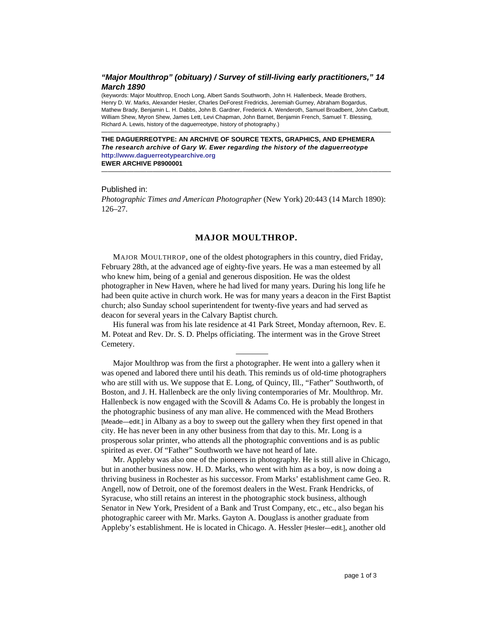# *"Major Moulthrop" (obituary) / Survey of still-living early practitioners," 14 March 1890*

(keywords: Major Moulthrop, Enoch Long, Albert Sands Southworth, John H. Hallenbeck, Meade Brothers, Henry D. W. Marks, Alexander Hesler, Charles DeForest Fredricks, Jeremiah Gurney, Abraham Bogardus, Mathew Brady, Benjamin L. H. Dabbs, John B. Gardner, Frederick A. Wenderoth, Samuel Broadbent, John Carbutt, William Shew, Myron Shew, James Lett, Levi Chapman, John Barnet, Benjamin French, Samuel T. Blessing, Richard A. Lewis, history of the daguerreotype, history of photography.)

—————————————————————————————————————————————

—————————————————————————————————————————————

**THE DAGUERREOTYPE: AN ARCHIVE OF SOURCE TEXTS, GRAPHICS, AND EPHEMERA**  *The research archive of Gary W. Ewer regarding the history of the daguerreotype*  **[http://www.daguerreotypearchive.org](http://www.daguerreotypearchive.org/) EWER ARCHIVE P8900001** 

## Published in:

*Photographic Times and American Photographer* (New York) 20:443 (14 March 1890): 126–27.

## **MAJOR MOULTHROP.**

MAJOR MOULTHROP, one of the oldest photographers in this country, died Friday, February 28th, at the advanced age of eighty-five years. He was a man esteemed by all who knew him, being of a genial and generous disposition. He was the oldest photographer in New Haven, where he had lived for many years. During his long life he had been quite active in church work. He was for many years a deacon in the First Baptist church; also Sunday school superintendent for twenty-five years and had served as deacon for several years in the Calvary Baptist church.

His funeral was from his late residence at 41 Park Street, Monday afternoon, Rev. E. M. Poteat and Rev. Dr. S. D. Phelps officiating. The interment was in the Grove Street Cemetery.

————

Major Moulthrop was from the first a photographer. He went into a gallery when it was opened and labored there until his death. This reminds us of old-time photographers who are still with us. We suppose that E. Long, of Quincy, Ill., "Father" Southworth, of Boston, and J. H. Hallenbeck are the only living contemporaries of Mr. Moulthrop. Mr. Hallenbeck is now engaged with the Scovill  $&$  Adams Co. He is probably the longest in the photographic business of any man alive. He commenced with the Mead Brothers [Meade—edit.] in Albany as a boy to sweep out the gallery when they first opened in that city. He has never been in any other business from that day to this. Mr. Long is a prosperous solar printer, who attends all the photographic conventions and is as public spirited as ever. Of "Father" Southworth we have not heard of late.

Mr. Appleby was also one of the pioneers in photography. He is still alive in Chicago, but in another business now. H. D. Marks, who went with him as a boy, is now doing a thriving business in Rochester as his successor. From Marks' establishment came Geo. R. Angell, now of Detroit, one of the foremost dealers in the West. Frank Hendricks, of Syracuse, who still retains an interest in the photographic stock business, although Senator in New York, President of a Bank and Trust Company, etc., etc., also began his photographic career with Mr. Marks. Gayton A. Douglass is another graduate from Appleby's establishment. He is located in Chicago. A. Hessler [Hesler—edit.], another old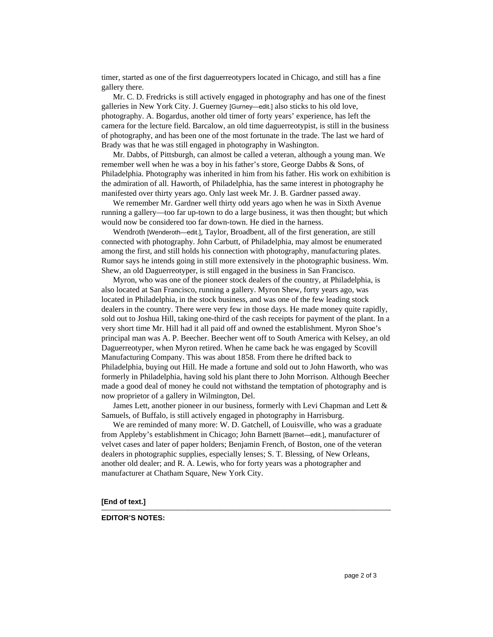timer, started as one of the first daguerreotypers located in Chicago, and still has a fine gallery there.

Mr. C. D. Fredricks is still actively engaged in photography and has one of the finest galleries in New York City. J. Guerney [Gurney—edit.] also sticks to his old love, photography. A. Bogardus, another old timer of forty years' experience, has left the camera for the lecture field. Barcalow, an old time daguerreotypist, is still in the business of photography, and has been one of the most fortunate in the trade. The last we hard of Brady was that he was still engaged in photography in Washington.

Mr. Dabbs, of Pittsburgh, can almost be called a veteran, although a young man. We remember well when he was a boy in his father's store, George Dabbs & Sons, of Philadelphia. Photography was inherited in him from his father. His work on exhibition is the admiration of all. Haworth, of Philadelphia, has the same interest in photography he manifested over thirty years ago. Only last week Mr. J. B. Gardner passed away.

We remember Mr. Gardner well thirty odd years ago when he was in Sixth Avenue running a gallery—too far up-town to do a large business, it was then thought; but which would now be considered too far down-town. He died in the harness.

Wendroth [Wenderoth—edit.], Taylor, Broadbent, all of the first generation, are still connected with photography. John Carbutt, of Philadelphia, may almost be enumerated among the first, and still holds his connection with photography, manufacturing plates. Rumor says he intends going in still more extensively in the photographic business. Wm. Shew, an old Daguerreotyper, is still engaged in the business in San Francisco.

Myron, who was one of the pioneer stock dealers of the country, at Philadelphia, is also located at San Francisco, running a gallery. Myron Shew, forty years ago, was located in Philadelphia, in the stock business, and was one of the few leading stock dealers in the country. There were very few in those days. He made money quite rapidly, sold out to Joshua Hill, taking one-third of the cash receipts for payment of the plant. In a very short time Mr. Hill had it all paid off and owned the establishment. Myron Shoe's principal man was A. P. Beecher. Beecher went off to South America with Kelsey, an old Daguerreotyper, when Myron retired. When he came back he was engaged by Scovill Manufacturing Company. This was about 1858. From there he drifted back to Philadelphia, buying out Hill. He made a fortune and sold out to John Haworth, who was formerly in Philadelphia, having sold his plant there to John Morrison. Although Beecher made a good deal of money he could not withstand the temptation of photography and is now proprietor of a gallery in Wilmington, Del.

James Lett, another pioneer in our business, formerly with Levi Chapman and Lett & Samuels, of Buffalo, is still actively engaged in photography in Harrisburg.

We are reminded of many more: W. D. Gatchell, of Louisville, who was a graduate from Appleby's establishment in Chicago; John Barnett [Barnet—edit.], manufacturer of velvet cases and later of paper holders; Benjamin French, of Boston, one of the veteran dealers in photographic supplies, especially lenses; S. T. Blessing, of New Orleans, another old dealer; and R. A. Lewis, who for forty years was a photographer and manufacturer at Chatham Square, New York City.

—————————————————————————————————————————————

**[End of text.]** 

## **EDITOR'S NOTES:**